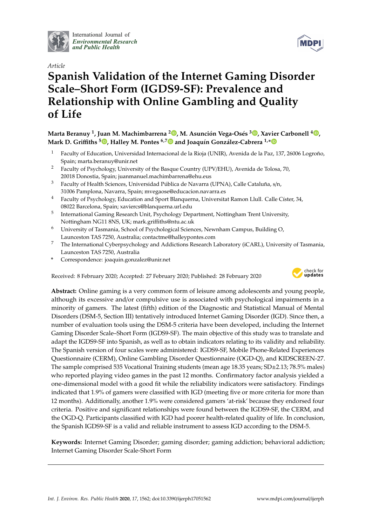

International Journal of *[Environmental Research](http://www.mdpi.com/journal/ijerph) and Public Health*



# *Article* **Spanish Validation of the Internet Gaming Disorder Scale–Short Form (IGDS9-SF): Prevalence and Relationship with Online Gambling and Quality of Life**

# **Marta Beranuy <sup>1</sup> , Juan M. Machimbarrena <sup>2</sup> [,](https://orcid.org/0000-0002-5506-3661) M. Asunción Vega-Osés [3](https://orcid.org/0000-0002-8527-8823) , Xavier Carbonell <sup>4</sup> [,](https://orcid.org/0000-0002-9714-1568) Mark D. Gri**ffi**ths <sup>5</sup> [,](https://orcid.org/0000-0001-8880-6524) Halley M. Pontes 6,[7](https://orcid.org/0000-0001-8020-7623) and Joaquín González-Cabrera 1,[\\*](https://orcid.org/0000-0003-2865-3428)**

- <sup>1</sup> Faculty of Education, Universidad Internacional de la Rioja (UNIR), Avenida de la Paz, 137, 26006 Logroño, Spain; marta.beranuy@unir.net
- <sup>2</sup> Faculty of Psychology, University of the Basque Country (UPV/EHU), Avenida de Tolosa, 70, 20018 Donostia, Spain; juanmanuel.machimbarrena@ehu.eus
- <sup>3</sup> Faculty of Health Sciences, Universidad Pública de Navarra (UPNA), Calle Cataluña, s/n, 31006 Pamplona, Navarra, Spain; mvegaose@educacion.navarra.es
- <sup>4</sup> Faculty of Psychology, Education and Sport Blanquerna, Universitat Ramon Llull. Calle Císter, 34, 08022 Barcelona, Spain; xaviercs@blanquerna.url.edu
- 5 International Gaming Research Unit, Psychology Department, Nottingham Trent University, Nottingham NG11 8NS, UK; mark.griffiths@ntu.ac.uk
- <sup>6</sup> University of Tasmania, School of Psychological Sciences, Newnham Campus, Building O, Launceston TAS 7250, Australia; contactme@halleypontes.com
- <sup>7</sup> The International Cyberpsychology and Addictions Research Laboratory (iCARL), University of Tasmania, Launceston TAS 7250, Australia
- **\*** Correspondence: joaquin.gonzalez@unir.net

Received: 8 February 2020; Accepted: 27 February 2020; Published: 28 February 2020



**Abstract:** Online gaming is a very common form of leisure among adolescents and young people, although its excessive and/or compulsive use is associated with psychological impairments in a minority of gamers. The latest (fifth) edition of the Diagnostic and Statistical Manual of Mental Disorders (DSM-5, Section III) tentatively introduced Internet Gaming Disorder (IGD). Since then, a number of evaluation tools using the DSM-5 criteria have been developed, including the Internet Gaming Disorder Scale–Short Form (IGDS9-SF). The main objective of this study was to translate and adapt the IGDS9-SF into Spanish, as well as to obtain indicators relating to its validity and reliability. The Spanish version of four scales were administered: IGDS9-SF, Mobile Phone-Related Experiences Questionnaire (CERM), Online Gambling Disorder Questionnaire (OGD-Q), and KIDSCREEN-27. The sample comprised 535 Vocational Training students (mean age 18.35 years; SD±2.13; 78.5% males) who reported playing video games in the past 12 months. Confirmatory factor analysis yielded a one-dimensional model with a good fit while the reliability indicators were satisfactory. Findings indicated that 1.9% of gamers were classified with IGD (meeting five or more criteria for more than 12 months). Additionally, another 1.9% were considered gamers 'at-risk' because they endorsed four criteria. Positive and significant relationships were found between the IGDS9-SF, the CERM, and the OGD-Q. Participants classified with IGD had poorer health-related quality of life. In conclusion, the Spanish IGDS9-SF is a valid and reliable instrument to assess IGD according to the DSM-5.

**Keywords:** Internet Gaming Disorder; gaming disorder; gaming addiction; behavioral addiction; Internet Gaming Disorder Scale-Short Form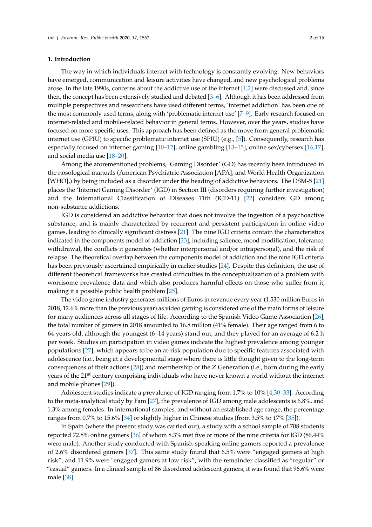#### **1. Introduction**

The way in which individuals interact with technology is constantly evolving. New behaviors have emerged, communication and leisure activities have changed, and new psychological problems arose. In the late 1990s, concerns about the addictive use of the internet [\[1](#page-10-0)[,2\]](#page-10-1) were discussed and, since then, the concept has been extensively studied and debated [\[3–](#page-10-2)[6\]](#page-11-0). Although it has been addressed from multiple perspectives and researchers have used different terms, 'internet addiction' has been one of the most commonly used terms, along with 'problematic internet use' [\[7](#page-11-1)[–9\]](#page-11-2). Early research focused on internet-related and mobile-related behavior in general terms. However, over the years, studies have focused on more specific uses. This approach has been defined as the move from general problematic internet use (GPIU) to specific problematic internet use (SPIU) (e.g., [\[5\]](#page-11-3)). Consequently, research has especially focused on internet gaming [\[10–](#page-11-4)[12\]](#page-11-5), online gambling [\[13](#page-11-6)[–15\]](#page-11-7), online sex/cybersex [\[16,](#page-11-8)[17\]](#page-11-9), and social media use [\[18](#page-11-10)[–20\]](#page-11-11).

Among the aforementioned problems, 'Gaming Disorder' (GD) has recently been introduced in the nosological manuals (American Psychiatric Association [APA], and World Health Organization [WHO],) by being included as a disorder under the heading of addictive behaviors. The DSM-5 [\[21\]](#page-11-12) places the 'Internet Gaming Disorder' (IGD) in Section III (disorders requiring further investigation) and the International Classification of Diseases 11th (ICD-11) [\[22\]](#page-11-13) considers GD among non-substance addictions.

IGD is considered an addictive behavior that does not involve the ingestion of a psychoactive substance, and is mainly characterized by recurrent and persistent participation in online video games, leading to clinically significant distress [\[21\]](#page-11-12). The nine IGD criteria contain the characteristics indicated in the components model of addiction [\[23\]](#page-11-14), including salience, mood modification, tolerance, withdrawal, the conflicts it generates (whether interpersonal and/or intrapersonal), and the risk of relapse. The theoretical overlap between the components model of addiction and the nine IGD criteria has been previously ascertained empirically in earlier studies [\[24\]](#page-11-15). Despite this definition, the use of different theoretical frameworks has created difficulties in the conceptualization of a problem with worrisome prevalence data and which also produces harmful effects on those who suffer from it, making it a possible public health problem [\[25\]](#page-11-16).

The video game industry generates millions of Euros in revenue every year (1.530 million Euros in 2018, 12.6% more than the previous year) as video gaming is considered one of the main forms of leisure for many audiences across all stages of life. According to the Spanish Video Game Association [\[26\]](#page-11-17), the total number of gamers in 2018 amounted to 16.8 million (41% female). Their age ranged from 6 to 64 years old, although the youngest (6–14 years) stand out, and they played for an average of 6.2 h per week. Studies on participation in video games indicate the highest prevalence among younger populations [\[27\]](#page-12-0), which appears to be an at-risk population due to specific features associated with adolescence (i.e., being at a developmental stage where there is little thought given to the long-term consequences of their actions [\[28\]](#page-12-1)) and membership of the Z Generation (i.e., born during the early years of the 21<sup>st</sup> century comprising individuals who have never known a world without the internet and mobile phones [\[29\]](#page-12-2)).

Adolescent studies indicate a prevalence of IGD ranging from 1.7% to 10% [\[4](#page-11-18)[,30](#page-12-3)[–33\]](#page-12-4). According to the meta-analytical study by Fam [\[27\]](#page-12-0), the prevalence of IGD among male adolescents is 6.8%, and 1.3% among females. In international samples, and without an established age range, the percentage ranges from 0.7% to 15.6% [\[34\]](#page-12-5) or slightly higher in Chinese studies (from 3.5% to 17% [\[35\]](#page-12-6)).

In Spain (where the present study was carried out), a study with a school sample of 708 students reported 72.8% online gamers [\[36\]](#page-12-7) of whom 8.3% met five or more of the nine criteria for IGD (86.44% were male). Another study conducted with Spanish-speaking online gamers reported a prevalence of 2.6% disordered gamers [\[37\]](#page-12-8). This same study found that 6.5% were "engaged gamers at high risk", and 11.9% were "engaged gamers at low risk", with the remainder classified as "regular" or "casual" gamers. In a clinical sample of 86 disordered adolescent gamers, it was found that 96.6% were male [\[38\]](#page-12-9).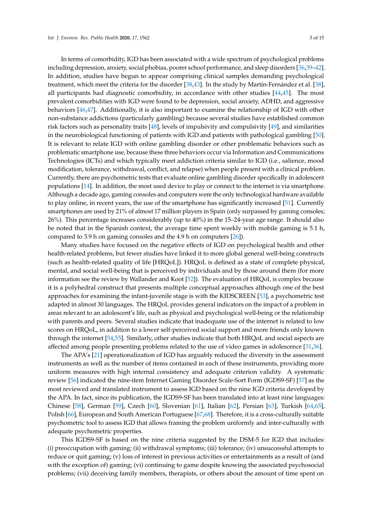In terms of comorbidity, IGD has been associated with a wide spectrum of psychological problems including depression, anxiety, social phobias, poorer school performance, and sleep disorders [\[36,](#page-12-7)[39–](#page-12-10)[42\]](#page-12-11). In addition, studies have begun to appear comprising clinical samples demanding psychological treatment, which meet the criteria for the disorder [\[38,](#page-12-9)[43\]](#page-12-12). In the study by Martín-Fernández et al. [\[38\]](#page-12-9), all participants had diagnostic comorbidity, in accordance with other studies [\[44,](#page-12-13)[45\]](#page-12-14). The most prevalent comorbidities with IGD were found to be depression, social anxiety, ADHD, and aggressive behaviors [\[46](#page-12-15)[,47\]](#page-12-16). Additionally, it is also important to examine the relationship of IGD with other non-substance addictions (particularly gambling) because several studies have established common risk factors such as personality traits [\[48\]](#page-12-17), levels of impulsivity and compulsivity [\[49\]](#page-12-18), and similarities in the neurobiological functioning of patients with IGD and patients with pathological gambling [\[50\]](#page-13-0). It is relevant to relate IGD with online gambling disorder or other problematic behaviors such as problematic smartphone use, because these three behaviors occur via Information and Communications Technologies (ICTs) and which typically meet addiction criteria similar to IGD (i.e., salience, mood modification, tolerance, withdrawal, conflict, and relapse) when people present with a clinical problem. Currently, there are psychometric tests that evaluate online gambling disorder specifically in adolescent populations [\[14\]](#page-11-19). In addition, the most used device to play or connect to the internet is via smartphone. Although a decade ago, gaming consoles and computers were the only technological hardware available to play online, in recent years, the use of the smartphone has significantly increased [\[51\]](#page-13-1). Currently smartphones are used by 21% of almost 17 million players in Spain (only surpassed by gaming consoles; 26%). This percentage increases considerably (up to 40%) in the 15–24-year age range. It should also be noted that in the Spanish context, the average time spent weekly with mobile gaming is 5.1 h, compared to 3.9 h on gaming consoles and the 4.9 h on computers [\[26\]](#page-11-17)).

Many studies have focused on the negative effects of IGD on psychological health and other health-related problems, but fewer studies have linked it to more global general well-being constructs (such as health-related quality of life [HRQoL]). HRQoL is defined as a state of complete physical, mental, and social well-being that is perceived by individuals and by those around them (for more information see the review by Wallander and Koot [\[52\]](#page-13-2)). The evaluation of HRQoL is complex because it is a polyhedral construct that presents multiple conceptual approaches although one of the best approaches for examining the infant-juvenile stage is with the KIDSCREEN [\[53\]](#page-13-3), a psychometric test adapted in almost 30 languages. The HRQoL provides general indicators on the impact of a problem in areas relevant to an adolescent's life, such as physical and psychological well-being or the relationship with parents and peers. Several studies indicate that inadequate use of the internet is related to low scores on HRQoL, in addition to a lower self-perceived social support and more friends only known through the internet [\[54](#page-13-4)[,55\]](#page-13-5). Similarly, other studies indicate that both HRQoL and social aspects are affected among people presenting problems related to the use of video games in adolescence [\[31](#page-12-19)[,36\]](#page-12-7).

The APA's [\[21\]](#page-11-12) operationalization of IGD has arguably reduced the diversity in the assessment instruments as well as the number of items contained in each of these instruments, providing more uniform measures with high internal consistency and adequate criterion validity. A systematic review [\[56\]](#page-13-6) indicated the nine-item Internet Gaming Disorder Scale-Sort Form (IGDS9-SF) [\[57\]](#page-13-7) as the most reviewed and translated instrument to assess IGD based on the nine IGD criteria developed by the APA. In fact, since its publication, the IGDS9-SF has been translated into at least nine languages: Chinese [\[58\]](#page-13-8), German [\[59\]](#page-13-9), Czech [\[60\]](#page-13-10), Slovenian [\[61\]](#page-13-11), Italian [\[62\]](#page-13-12), Persian [\[63\]](#page-13-13), Turkish [\[64,](#page-13-14)[65\]](#page-13-15), Polish [\[66\]](#page-13-16), European and South American Portuguese [\[67,](#page-13-17)[68\]](#page-13-18). Therefore, it is a cross-culturally suitable psychometric tool to assess IGD that allows framing the problem uniformly and inter-culturally with adequate psychometric properties.

This IGDS9-SF is based on the nine criteria suggested by the DSM-5 for IGD that includes: (i) preoccupation with gaming; (ii) withdrawal symptoms; (iii) tolerance; (iv) unsuccessful attempts to reduce or quit gaming; (v) loss of interest in previous activities or entertainments as a result of (and with the exception of) gaming; (vi) continuing to game despite knowing the associated psychosocial problems; (vii) deceiving family members, therapists, or others about the amount of time spent on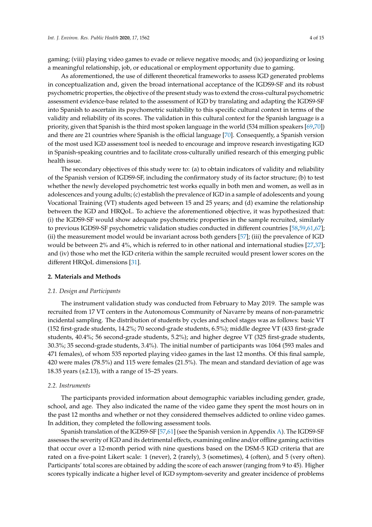gaming; (viii) playing video games to evade or relieve negative moods; and (ix) jeopardizing or losing a meaningful relationship, job, or educational or employment opportunity due to gaming.

As aforementioned, the use of different theoretical frameworks to assess IGD generated problems in conceptualization and, given the broad international acceptance of the IGDS9-SF and its robust psychometric properties, the objective of the present study was to extend the cross-cultural psychometric assessment evidence-base related to the assessment of IGD by translating and adapting the IGDS9-SF into Spanish to ascertain its psychometric suitability to this specific cultural context in terms of the validity and reliability of its scores. The validation in this cultural context for the Spanish language is a priority, given that Spanish is the third most spoken language in the world (534 million speakers [\[69](#page-13-19)[,70\]](#page-14-0)) and there are 21 countries where Spanish is the official language [\[70\]](#page-14-0). Consequently, a Spanish version of the most used IGD assessment tool is needed to encourage and improve research investigating IGD in Spanish-speaking countries and to facilitate cross-culturally unified research of this emerging public health issue.

The secondary objectives of this study were to: (a) to obtain indicators of validity and reliability of the Spanish version of IGDS9-SF, including the confirmatory study of its factor structure; (b) to test whether the newly developed psychometric test works equally in both men and women, as well as in adolescences and young adults; (c) establish the prevalence of IGD in a sample of adolescents and young Vocational Training (VT) students aged between 15 and 25 years; and (d) examine the relationship between the IGD and HRQoL. To achieve the aforementioned objective, it was hypothesized that: (i) the IGDS9-SF would show adequate psychometric properties in the sample recruited, similarly to previous IGDS9-SF psychometric validation studies conducted in different countries [\[58,](#page-13-8)[59,](#page-13-9)[61,](#page-13-11)[67\]](#page-13-17); (ii) the measurement model would be invariant across both genders [\[57\]](#page-13-7); (iii) the prevalence of IGD would be between 2% and 4%, which is referred to in other national and international studies [\[27,](#page-12-0)[37\]](#page-12-8); and (iv) those who met the IGD criteria within the sample recruited would present lower scores on the different HRQoL dimensions [\[31\]](#page-12-19).

#### **2. Materials and Methods**

#### *2.1. Design and Participants*

The instrument validation study was conducted from February to May 2019. The sample was recruited from 17 VT centers in the Autonomous Community of Navarre by means of non-parametric incidental sampling. The distribution of students by cycles and school stages was as follows: basic VT (152 first-grade students, 14.2%; 70 second-grade students, 6.5%); middle degree VT (433 first-grade students, 40.4%; 56 second-grade students, 5.2%); and higher degree VT (325 first-grade students, 30.3%; 35 second-grade students, 3.4%). The initial number of participants was 1064 (593 males and 471 females), of whom 535 reported playing video games in the last 12 months. Of this final sample, 420 were males (78.5%) and 115 were females (21.5%). The mean and standard deviation of age was 18.35 years  $(\pm 2.13)$ , with a range of 15–25 years.

#### *2.2. Instruments*

The participants provided information about demographic variables including gender, grade, school, and age. They also indicated the name of the video game they spent the most hours on in the past 12 months and whether or not they considered themselves addicted to online video games. In addition, they completed the following assessment tools.

Spanish translation of the IGDS9-SF [\[57,](#page-13-7)[61\]](#page-13-11) (see the Spanish version in Appendix [A\)](#page-10-3). The IGDS9-SF assesses the severity of IGD and its detrimental effects, examining online and/or offline gaming activities that occur over a 12-month period with nine questions based on the DSM-5 IGD criteria that are rated on a five-point Likert scale: 1 (never), 2 (rarely), 3 (sometimes), 4 (often), and 5 (very often). Participants' total scores are obtained by adding the score of each answer (ranging from 9 to 45). Higher scores typically indicate a higher level of IGD symptom-severity and greater incidence of problems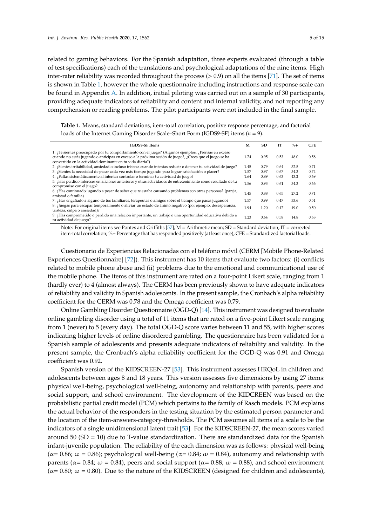related to gaming behaviors. For the Spanish adaptation, three experts evaluated (through a table of test specifications) each of the translations and psychological adaptations of the nine items. High inter-rater reliability was recorded throughout the process (> 0.9) on all the items [\[71\]](#page-14-1). The set of items is shown in Table [1,](#page-4-0) however the whole questionnaire including instructions and response scale can be found in Appendix [A.](#page-10-3) In addition, initial piloting was carried out on a sample of 30 participants, providing adequate indicators of reliability and content and internal validity, and not reporting any comprehension or reading problems. The pilot participants were not included in the final sample.

<span id="page-4-0"></span>**Table 1.** Means, standard deviations, item-total correlation, positive response percentage, and factorial loads of the Internet Gaming Disorder Scale–Short Form (IGDS9-SF) items (*n* = 9).

| <b>IGDS9-SF Items</b>                                                                                                                                                                                                                                                     | M    | <b>SD</b> | <b>IT</b> | $\% +$ | <b>CFE</b> |
|---------------------------------------------------------------------------------------------------------------------------------------------------------------------------------------------------------------------------------------------------------------------------|------|-----------|-----------|--------|------------|
| 1. ¿Te sientes preocupado por tu comportamiento con el juego? (Algunos ejemplos: ¿Piensas en exceso<br>cuando no estás jugando o anticipas en exceso a la próxima sesión de juego?, ¿Crees que el juego se ha<br>convertido en la actividad dominante en tu vida diaria?) | 1.74 | 0.95      | 0.53      | 48.0   | 0.58       |
| 2. Sientes irritabilidad, ansiedad o incluso tristeza cuando intentas reducir o detener tu actividad de juego?                                                                                                                                                            | 1.45 | 0.79      | 0.64      | 32.5   | 0.71       |
| 3. ¿Sientes la necesidad de pasar cada vez más tiempo jugando para lograr satisfacción o placer?                                                                                                                                                                          | 1.57 | 0.97      | 0.67      | 34.3   | 0.74       |
| 4. ¿Fallas sistemáticamente al intentar controlar o terminar tu actividad de juego?                                                                                                                                                                                       | 1.64 | 0.89      | 0.63      | 43.2   | 0.69       |
| 5. ¿Has perdido intereses en aficiones anteriores y otras actividades de entretenimiento como resultado de tu<br>compromiso con el juego?                                                                                                                                 | 1.56 | 0.93      | 0.61      | 34.3   | 0.66       |
| 6. ¡Has continuado jugando a pesar de saber que te estaba causando problemas con otras personas? (pareja,<br>amistad o familia)                                                                                                                                           | 1.45 | 0.88      | 0.65      | 27.2   | 0.71       |
| 7. ¿Has engañado a alguno de tus familiares, terapeutas o amigos sobre el tiempo que pasas jugando?                                                                                                                                                                       | 1.57 | 0.99      | 0.47      | 33.6   | 0.51       |
| 8. ¿Juegas para escapar temporalmente o aliviar un estado de ánimo negativo (por ejemplo, desesperanza,<br>tristeza, culpa o ansiedad)?                                                                                                                                   | 1.94 | 1.20      | 0.47      | 49.0   | 0.50       |
| 9. ¿Has comprometido o perdido una relación importante, un trabajo o una oportunidad educativa debido a<br>tu actividad de juego?                                                                                                                                         | 1.23 | 0.64      | 0.58      | 14.8   | 0.63       |

Note: For original items see Pontes and Griffiths [\[57\]](#page-13-7);  $M =$  Arithmetic mean; SD = Standard deviation; IT = corrected item-total correlation; %+ Percentage that has responded positively (at least once); CFE = Standardized factorial loads.

Cuestionario de Experiencias Relacionadas con el teléfono móvil (CERM [Mobile Phone-Related Experiences Questionnaire] [\[72\]](#page-14-2)). This instrument has 10 items that evaluate two factors: (i) conflicts related to mobile phone abuse and (ii) problems due to the emotional and communicational use of the mobile phone. The items of this instrument are rated on a four-point Likert scale, ranging from 1 (hardly ever) to 4 (almost always). The CERM has been previously shown to have adequate indicators of reliability and validity in Spanish adolescents. In the present sample, the Cronbach's alpha reliability coefficient for the CERM was 0.78 and the Omega coefficient was 0.79.

Online Gambling Disorder Questionnaire (OGD-Q) [\[14\]](#page-11-19). This instrument was designed to evaluate online gambling disorder using a total of 11 items that are rated on a five-point Likert scale ranging from 1 (never) to 5 (every day). The total OGD-Q score varies between 11 and 55, with higher scores indicating higher levels of online disordered gambling. The questionnaire has been validated for a Spanish sample of adolescents and presents adequate indicators of reliability and validity. In the present sample, the Cronbach's alpha reliability coefficient for the OGD-Q was 0.91 and Omega coefficient was 0.92.

Spanish version of the KIDSCREEN-27 [\[53\]](#page-13-3). This instrument assesses HRQoL in children and adolescents between ages 8 and 18 years. This version assesses five dimensions by using 27 items: physical well-being, psychological well-being, autonomy and relationship with parents, peers and social support, and school environment. The development of the KIDCREEN was based on the probabilistic partial credit model (PCM) which pertains to the family of Rasch models. PCM explains the actual behavior of the responders in the testing situation by the estimated person parameter and the location of the item-answers-category-thresholds. The PCM assumes all items of a scale to be the indicators of a single unidimensional latent trait [\[53\]](#page-13-3). For the KIDSCREEN-27, the mean scores varied around 50 ( $SD = 10$ ) due to T-value standardization. There are standardized data for the Spanish infant-juvenile population. The reliability of the each dimension was as follows: physical well-being ( $\alpha$  = 0.86;  $\omega$  = 0.86); psychological well-being ( $\alpha$  = 0.84;  $\omega$  = 0.84), autonomy and relationship with parents ( $\alpha$ = 0.84;  $\omega$  = 0.84), peers and social support ( $\alpha$ = 0.88;  $\omega$  = 0.88), and school environment  $(\alpha = 0.80; \omega = 0.80)$ . Due to the nature of the KIDSCREEN (designed for children and adolescents),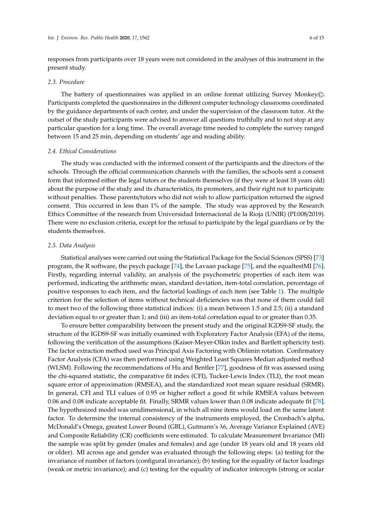responses from participants over 18 years were not considered in the analyses of this instrument in the present study.

#### *2.3. Procedure*

The battery of questionnaires was applied in an online format utilizing Survey Monkey©. Participants completed the questionnaires in the different computer technology classrooms coordinated by the guidance departments of each center, and under the supervision of the classroom tutor. At the outset of the study participants were advised to answer all questions truthfully and to not stop at any particular question for a long time. The overall average time needed to complete the survey ranged between 15 and 25 min, depending on students' age and reading ability.

#### *2.4. Ethical Considerations*

The study was conducted with the informed consent of the participants and the directors of the schools. Through the official communication channels with the families, the schools sent a consent form that informed either the legal tutors or the students themselves (if they were at least 18 years old) about the purpose of the study and its characteristics, its promoters, and their right not to participate without penalties. Those parents/tutors who did not wish to allow participation returned the signed consent. This occurred in less than 1% of the sample. The study was approved by the Research Ethics Committee of the research from Universidad Internacional de la Rioja (UNIR) (PI:008/2019). There were no exclusion criteria, except for the refusal to participate by the legal guardians or by the students themselves.

#### *2.5. Data Analysis*

Statistical analyses were carried out using the Statistical Package for the Social Sciences (SPSS) [\[73\]](#page-14-3) program, the R software, the psych package [\[74\]](#page-14-4), the Lavaan package [\[75\]](#page-14-5), and the equaltestMI [\[76\]](#page-14-6). Firstly, regarding internal validity, an analysis of the psychometric properties of each item was performed, indicating the arithmetic mean, standard deviation, item-total correlation, percentage of positive responses to each item, and the factorial loadings of each item (see Table [1\)](#page-4-0). The multiple criterion for the selection of items without technical deficiencies was that none of them could fail to meet two of the following three statistical indices: (i) a mean between 1.5 and 2.5; (ii) a standard deviation equal to or greater than 1; and (iii) an item-total correlation equal to or greater than 0.35.

To ensure better comparability between the present study and the original IGDS9-SF study, the structure of the IGDS9-SF was initially examined with Exploratory Factor Analysis (EFA) of the items, following the verification of the assumptions (Kaiser-Meyer-Olkin index and Bartlett sphericity test). The factor extraction method used was Principal Axis Factoring with Oblimin rotation. Confirmatory Factor Analysis (CFA) was then performed using Weighted Least Squares Median adjusted method (WLSM). Following the recommendations of Hu and Bentler [\[77\]](#page-14-7), goodness of fit was assessed using the chi-squared statistic, the comparative fit index (CFI), Tucker-Lewis Index (TLI), the root mean square error of approximation (RMSEA), and the standardized root mean square residual (SRMR). In general, CFI and TLI values of 0.95 or higher reflect a good fit while RMSEA values between 0.06 and 0.08 indicate acceptable fit. Finally, SRMR values lower than 0.08 indicate adequate fit [\[78\]](#page-14-8). The hypothesized model was unidimensional, in which all nine items would load on the same latent factor. To determine the internal consistency of the instruments employed, the Cronbach's alpha, McDonald's Omega, greatest Lower Bound (GBL), Gutmann's λ6, Average Variance Explained (AVE) and Composite Reliability (CR) coefficients were estimated. To calculate Measurement Invariance (MI) the sample was split by gender (males and females) and age (under 18 years old and 18 years old or older). MI across age and gender was evaluated through the following steps: (a) testing for the invariance of number of factors (configural invariance); (b) testing for the equality of factor loadings (weak or metric invariance); and (c) testing for the equality of indicator intercepts (strong or scalar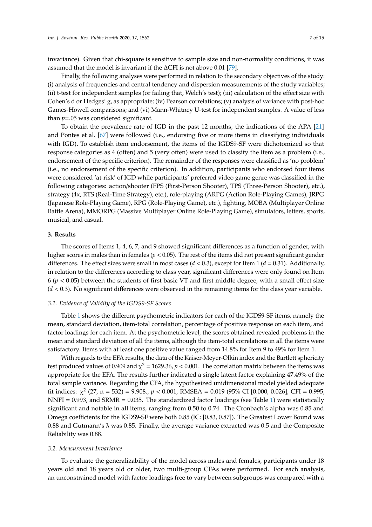invariance). Given that chi-square is sensitive to sample size and non-normality conditions, it was assumed that the model is invariant if the ∆CFI is not above 0.01 [\[79\]](#page-14-9).

Finally, the following analyses were performed in relation to the secondary objectives of the study: (i) analysis of frequencies and central tendency and dispersion measurements of the study variables; (ii) t-test for independent samples (or failing that, Welch's test); (iii) calculation of the effect size with Cohen's d or Hedges' g, as appropriate; (iv) Pearson correlations; (v) analysis of variance with post-hoc Games-Howell comparisons; and (vi) Mann-Whitney U-test for independent samples. A value of less than *p*=.05 was considered significant.

To obtain the prevalence rate of IGD in the past 12 months, the indications of the APA [\[21\]](#page-11-12) and Pontes et al. [\[67\]](#page-13-17) were followed (i.e., endorsing five or more items in classifying individuals with IGD). To establish item endorsement, the items of the IGDS9-SF were dichotomized so that response categories as 4 (often) and 5 (very often) were used to classify the item as a problem (i.e., endorsement of the specific criterion). The remainder of the responses were classified as 'no problem' (i.e., no endorsement of the specific criterion). In addition, participants who endorsed four items were considered 'at-risk' of IGD while participants' preferred video game genre was classified in the following categories: action/shooter (FPS (First-Person Shooter), TPS (Three-Person Shooter), etc.), strategy (4x, RTS (Real-Time Strategy), etc.), role-playing (ARPG (Action Role-Playing Games), JRPG (Japanese Role-Playing Game), RPG (Role-Playing Game), etc.), fighting, MOBA (Multiplayer Online Battle Arena), MMORPG (Massive Multiplayer Online Role-Playing Game), simulators, letters, sports, musical, and casual.

# **3. Results**

The scores of Items 1, 4, 6, 7, and 9 showed significant differences as a function of gender, with higher scores in males than in females (*p* < 0.05). The rest of the items did not present significant gender differences. The effect sizes were small in most cases (*d* < 0.3), except for Item 1 (*d* = 0.31). Additionally, in relation to the differences according to class year, significant differences were only found on Item  $6 (p < 0.05)$  between the students of first basic VT and first middle degree, with a small effect size (*d* < 0.3). No significant differences were observed in the remaining items for the class year variable.

#### *3.1. Evidence of Validity of the IGDS9-SF Scores*

Table [1](#page-4-0) shows the different psychometric indicators for each of the IGDS9-SF items, namely the mean, standard deviation, item-total correlation, percentage of positive response on each item, and factor loadings for each item. At the psychometric level, the scores obtained revealed problems in the mean and standard deviation of all the items, although the item-total correlations in all the items were satisfactory. Items with at least one positive value ranged from 14.8% for Item 9 to 49% for Item 1.

With regards to the EFA results, the data of the Kaiser-Meyer-Olkin index and the Bartlett sphericity test produced values of 0.909 and  $\chi^2$  = 1629.36,  $p$  < 0.001. The correlation matrix between the items was appropriate for the EFA. The results further indicated a single latent factor explaining 47.49% of the total sample variance. Regarding the CFA, the hypothesized unidimensional model yielded adequate fit indices:  $\chi^2$  (27, n = 532) = 9.908.,  $p < 0.001$ , RMSEA = 0.019 (95% CI [0.000, 0.026], CFI = 0.995, NNFI =  $0.993$ , and SRMR =  $0.035$ . The standardized factor loadings (see Table [1\)](#page-4-0) were statistically significant and notable in all items, ranging from 0.50 to 0.74. The Cronbach's alpha was 0.85 and Omega coefficients for the IGDS9-SF were both 0.85 (IC: [0.83, 0.87]). The Greatest Lower Bound was 0.88 and Gutmann's  $\lambda$  was 0.85. Finally, the average variance extracted was 0.5 and the Composite Reliability was 0.88.

### *3.2. Measurement Invariance*

To evaluate the generalizability of the model across males and females, participants under 18 years old and 18 years old or older, two multi-group CFAs were performed. For each analysis, an unconstrained model with factor loadings free to vary between subgroups was compared with a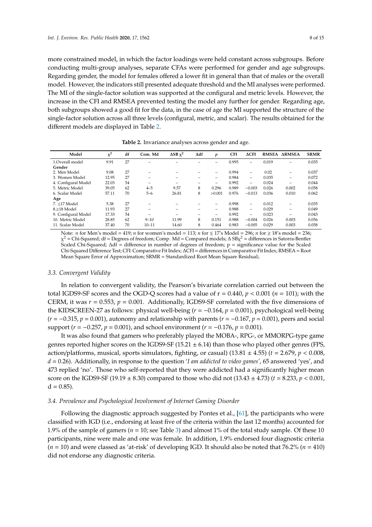more constrained model, in which the factor loadings were held constant across subgroups. Before conducting multi-group analyses, separate CFAs were performed for gender and age subgroups. Regarding gender, the model for females offered a lower fit in general than that of males or the overall model. However, the indicators still presented adequate threshold and the MI analyses were performed. The MI of the single-factor solution was supported at the configural and metric levels. However, the increase in the CFI and RMSEA prevented testing the model any further for gender. Regarding age, both subgroups showed a good fit for the data, in the case of age the MI supported the structure of the single-factor solution across all three levels (configural, metric, and scalar). The results obtained for the different models are displayed in Table [2.](#page-7-0)

<span id="page-7-0"></span>

| Model               | $x^2$ | df | Com. Md   | $\Delta SB$ $\chi^2$ | Δdf | p      | <b>CFI</b> | $\Delta$ CFI             | <b>RMSEA</b> | <b>ARMSEA</b>            | <b>SRMR</b> |
|---------------------|-------|----|-----------|----------------------|-----|--------|------------|--------------------------|--------------|--------------------------|-------------|
| 1.Overall model     | 9.91  | 27 |           |                      |     |        | 0.995      | $\overline{\phantom{0}}$ | 0.019        |                          | 0.035       |
| Gender              |       |    |           |                      |     |        |            |                          |              |                          |             |
| 2. Men Model        | 9.08  | 27 |           |                      |     | -      | 0.994      | $\overline{\phantom{0}}$ | 0.02         | -                        | 0.037       |
| 3. Women Model      | 12.95 | 27 | -         |                      |     | -      | 0.984      | $\overline{\phantom{0}}$ | 0.035        | $\overline{\phantom{0}}$ | 0.072       |
| 4. Configural Model | 22.03 | 54 |           |                      |     |        | 0.992      | $\overline{\phantom{0}}$ | 0.024        |                          | 0.044       |
| 5. Metric Model     | 39.05 | 62 | $4 - 5$   | 9.57                 | 8   | 0.296  | 0.989      | $-0.003$                 | 0.026        | 0.002                    | 0.058       |
| 6. Scalar Model     | 57.11 | 70 | $5 - 6$   | 26.81                | 8   | >0.001 | 0.976      | $-0.013$                 | 0.036        | 0.010                    | 0.062       |
| Age                 |       |    |           |                      |     |        |            |                          |              |                          |             |
| 7. <17 Model        | 5.38  | 27 |           |                      |     |        | 0.998      | $\overline{\phantom{0}}$ | 0.012        | $\overline{\phantom{0}}$ | 0.035       |
| 8.>18 Model         | 11.93 | 27 |           |                      |     | -      | 0.988      | $\overline{\phantom{0}}$ | 0.029        | $\overline{\phantom{0}}$ | 0.049       |
| 9. Configural Model | 17.33 | 54 |           |                      |     | -      | 0.992      | $\overline{\phantom{0}}$ | 0.023        | -                        | 0.043       |
| 10. Metric Model    | 28.85 | 62 | $9 - 10$  | 11.99                | 8   | 0.151  | 0.988      | $-0.004$                 | 0.026        | 0.003                    | 0.056       |
| 11. Scalar Model    | 37.40 | 70 | $10 - 11$ | 14.60                | 8   | 0.464  | 0.983      | $-0.005$                 | 0.029        | 0.003                    | 0.058       |

**Table 2.** Invariance analyses across gender and age.

Note: *n* for Men's model = 419; *n* for women's model = 113; *n* for ≤ 17's Model = 296; *n* for ≥ 18's model = 236;  $\chi^2$  = Chi-Squared; df = Degrees of freedom; Comp. Md = Compared models;  $\Delta$  SB $\chi^2$  = differences in Satorra-Bentler Scaled Chi-Squared; ∆df = difference in number of degrees of freedom; p = significance value for the Scaled Chi-Squared Difference Test; CFI: Comparative Fit Index; ∆CFI = differences in Comparative Fit Index; RMSEA = Root Mean Square Error of Approximation; SRMR = Standardized Root Mean Square Residual;.

#### *3.3. Convergent Validity*

In relation to convergent validity, the Pearson's bivariate correlation carried out between the total IGDS9-SF scores and the OGD-Q scores had a value of  $r = 0.440$ ,  $p < 0.001$  ( $n = 101$ ); with the CERM, it was  $r = 0.553$ ,  $p = 0.001$ . Additionally, IGDS9-SF correlated with the five dimensions of the KIDSCREEN-27 as follows: physical well-being (*r* = −0.164, *p* = 0.001), psychological well-being (*r* = −0.315, *p* = 0.001), autonomy and relationship with parents (*r* = −0.167, *p* = 0.001), peers and social support (*r* = −0.257, *p* = 0.001), and school environment (*r* = −0.176, *p* = 0.001).

It was also found that gamers who preferably played the MOBA-, RPG-, or MMORPG-type game genres reported higher scores on the IGDS9-SF (15.21  $\pm$  6.14) than those who played other genres (FPS, action/platforms, musical, sports simulators, fighting, or casual)  $(13.81 \pm 4.55)$   $(t = 2.679, p < 0.008,$ *d* = 0.26). Additionally, in response to the question '*I am addicted to video games'*, 65 answered 'yes', and 473 replied 'no'. Those who self-reported that they were addicted had a significantly higher mean score on the IGDS9-SF (19.19  $\pm$  8.30) compared to those who did not (13.43  $\pm$  4.73) ( $t = 8.233$ ,  $p < 0.001$ ,  $d = 0.85$ .

#### *3.4. Prevalence and Psychological Involvement of Internet Gaming Disorder*

Following the diagnostic approach suggested by Pontes et al., [\[61\]](#page-13-11), the participants who were classified with IGD (i.e., endorsing at least five of the criteria within the last 12 months) accounted for 1.9% of the sample of gamers ( $n = 10$ ; see Table [3\)](#page-8-0) and almost 1% of the total study sample. Of these 10 participants, nine were male and one was female. In addition, 1.9% endorsed four diagnostic criteria (*n* = 10) and were classed as 'at-risk' of developing IGD. It should also be noted that 76.2% (*n* = 410) did not endorse any diagnostic criteria.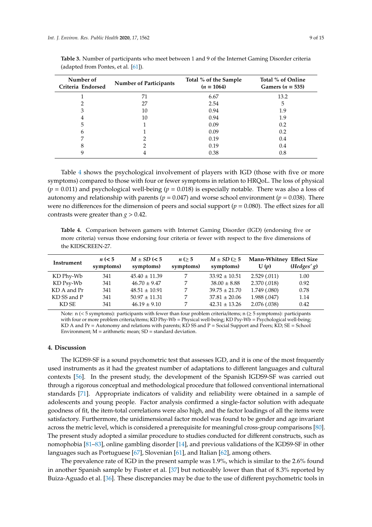| Number of<br>Criteria Endorsed | <b>Number of Participants</b> | Total % of the Sample<br>$(n = 1064)$ | Total % of Online<br>Gamers ( $n = 535$ ) |
|--------------------------------|-------------------------------|---------------------------------------|-------------------------------------------|
|                                | 71                            | 6.67                                  | 13.2                                      |
|                                | 27                            | 2.54                                  | 5                                         |
| 3                              | 10                            | 0.94                                  | 1.9                                       |
| 4                              | 10                            | 0.94                                  | 1.9                                       |
| 5                              |                               | 0.09                                  | 0.2                                       |
| 6                              |                               | 0.09                                  | 0.2                                       |
|                                |                               | 0.19                                  | 0.4                                       |
| 8                              |                               | 0.19                                  | 0.4                                       |
|                                |                               | 0.38                                  | 0.8                                       |

<span id="page-8-0"></span>**Table 3.** Number of participants who meet between 1 and 9 of the Internet Gaming Disorder criteria (adapted from Pontes, et al. [\[61\]](#page-13-11)).

Table [4](#page-8-1) shows the psychological involvement of players with IGD (those with five or more symptoms) compared to those with four or fewer symptoms in relation to HRQoL. The loss of physical  $(p = 0.011)$  and psychological well-being  $(p = 0.018)$  is especially notable. There was also a loss of autonomy and relationship with parents ( $p = 0.047$ ) and worse school environment ( $p = 0.038$ ). There were no differences for the dimension of peers and social support ( $p = 0.080$ ). The effect sizes for all contrasts were greater than  $g > 0.42$ .

<span id="page-8-1"></span>**Table 4.** Comparison between gamers with Internet Gaming Disorder (IGD) (endorsing five or more criteria) versus those endorsing four criteria or fewer with respect to the five dimensions of the KIDSCREEN-27.

| Instrument  | $n \leq 5$<br>symptoms) | $M \pm SD$ (< 5<br>symptoms) | n (> 5<br>symptoms) | $M \pm SD \geq 5$<br>symptoms) | Mann-Whitney Effect Size<br>U(p) | (Hedges'g) |
|-------------|-------------------------|------------------------------|---------------------|--------------------------------|----------------------------------|------------|
| KD Phy-Wb   | 341                     | $45.40 \pm 11.39$            |                     | $33.92 \pm 10.51$              | 2.529(.011)                      | 1.00       |
| KD Psy-Wb   | 341                     | $46.70 \pm 9.47$             | 7                   | $38.00 \pm 8.88$               | 2.370(.018)                      | 0.92       |
| KD A and Pr | 341                     | $48.51 \pm 10.91$            | 7                   | $39.75 \pm 21.70$              | 1.749 (.080)                     | 0.78       |
| KD SS and P | 341                     | $50.97 \pm 11.31$            |                     | $37.81 \pm 20.06$              | 1.988 (.047)                     | 1.14       |
| KD SE       | 341                     | $46.19 \pm 9.10$             |                     | $42.31 \pm 13.26$              | 2.076 (.038)                     | 0.42       |

Note: n (< 5 symptoms): participants with fewer than four problem criteria/items; n (≥ 5 symptoms): participants with four or more problem criteria/items; KD Phy-Wb = Physical well-being; KD Psy-Wb = Psychological well-being; KD A and Pr = Autonomy and relations with parents; KD SS and P = Social Support and Peers; KD; SE = School Environment;  $M =$  arithmetic mean;  $SD =$  standard deviation.

#### **4. Discussion**

The IGDS9-SF is a sound psychometric test that assesses IGD, and it is one of the most frequently used instruments as it had the greatest number of adaptations to different languages and cultural contexts [\[56\]](#page-13-6). In the present study, the development of the Spanish IGDS9-SF was carried out through a rigorous conceptual and methodological procedure that followed conventional international standards [\[71\]](#page-14-1). Appropriate indicators of validity and reliability were obtained in a sample of adolescents and young people. Factor analysis confirmed a single-factor solution with adequate goodness of fit, the item-total correlations were also high, and the factor loadings of all the items were satisfactory. Furthermore, the unidimensional factor model was found to be gender and age invariant across the metric level, which is considered a prerequisite for meaningful cross-group comparisons [\[80\]](#page-14-10). The present study adopted a similar procedure to studies conducted for different constructs, such as nomophobia [\[81](#page-14-11)[–83\]](#page-14-12), online gambling disorder [\[14\]](#page-11-19), and previous validations of the IGDS9-SF in other languages such as Portuguese [\[67\]](#page-13-17), Slovenian [\[61\]](#page-13-11), and Italian [\[62\]](#page-13-12), among others.

The prevalence rate of IGD in the present sample was 1.9%, which is similar to the 2.6% found in another Spanish sample by Fuster et al. [\[37\]](#page-12-8) but noticeably lower than that of 8.3% reported by Buiza-Aguado et al. [\[36\]](#page-12-7). These discrepancies may be due to the use of different psychometric tools in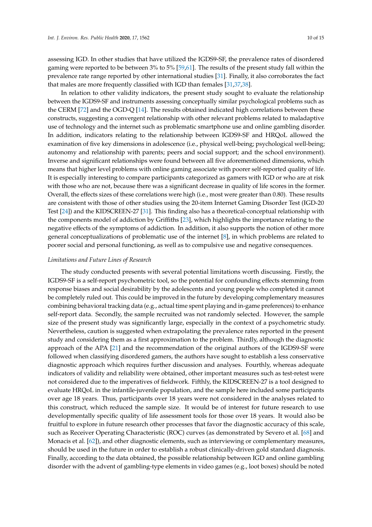assessing IGD. In other studies that have utilized the IGDS9-SF, the prevalence rates of disordered gaming were reported to be between 3% to 5% [\[59,](#page-13-9)[61\]](#page-13-11). The results of the present study fall within the prevalence rate range reported by other international studies [\[31\]](#page-12-19). Finally, it also corroborates the fact that males are more frequently classified with IGD than females [\[31,](#page-12-19)[37,](#page-12-8)[38\]](#page-12-9).

In relation to other validity indicators, the present study sought to evaluate the relationship between the IGDS9-SF and instruments assessing conceptually similar psychological problems such as the CERM [\[72\]](#page-14-2) and the OGD-Q [\[14\]](#page-11-19). The results obtained indicated high correlations between these constructs, suggesting a convergent relationship with other relevant problems related to maladaptive use of technology and the internet such as problematic smartphone use and online gambling disorder. In addition, indicators relating to the relationship between IGDS9-SF and HRQoL allowed the examination of five key dimensions in adolescence (i.e., physical well-being; psychological well-being; autonomy and relationship with parents; peers and social support; and the school environment). Inverse and significant relationships were found between all five aforementioned dimensions, which means that higher level problems with online gaming associate with poorer self-reported quality of life. It is especially interesting to compare participants categorized as gamers with IGD or who are at risk with those who are not, because there was a significant decrease in quality of life scores in the former. Overall, the effects sizes of these correlations were high (i.e., most were greater than 0.80). These results are consistent with those of other studies using the 20-item Internet Gaming Disorder Test (IGD-20 Test [\[24\]](#page-11-15)) and the KIDSCREEN-27 [\[31\]](#page-12-19). This finding also has a theoretical-conceptual relationship with the components model of addiction by Griffiths [\[23\]](#page-11-14), which highlights the importance relating to the negative effects of the symptoms of addiction. In addition, it also supports the notion of other more general conceptualizations of problematic use of the internet [\[8\]](#page-11-20), in which problems are related to poorer social and personal functioning, as well as to compulsive use and negative consequences.

#### *Limitations and Future Lines of Research*

The study conducted presents with several potential limitations worth discussing. Firstly, the IGDS9-SF is a self-report psychometric tool, so the potential for confounding effects stemming from response biases and social desirability by the adolescents and young people who completed it cannot be completely ruled out. This could be improved in the future by developing complementary measures combining behavioral tracking data (e.g., actual time spent playing and in-game preferences) to enhance self-report data. Secondly, the sample recruited was not randomly selected. However, the sample size of the present study was significantly large, especially in the context of a psychometric study. Nevertheless, caution is suggested when extrapolating the prevalence rates reported in the present study and considering them as a first approximation to the problem. Thirdly, although the diagnostic approach of the APA [\[21\]](#page-11-12) and the recommendation of the original authors of the IGDS9-SF were followed when classifying disordered gamers, the authors have sought to establish a less conservative diagnostic approach which requires further discussion and analyses. Fourthly, whereas adequate indicators of validity and reliability were obtained, other important measures such as test-retest were not considered due to the imperatives of fieldwork. Fifthly, the KIDSCREEN-27 is a tool designed to evaluate HRQoL in the infantile-juvenile population, and the sample here included some participants over age 18 years. Thus, participants over 18 years were not considered in the analyses related to this construct, which reduced the sample size. It would be of interest for future research to use developmentally specific quality of life assessment tools for those over 18 years. It would also be fruitful to explore in future research other processes that favor the diagnostic accuracy of this scale, such as Receiver Operating Characteristic (ROC) curves (as demonstrated by Severo et al. [\[68\]](#page-13-18) and Monacis et al. [\[62\]](#page-13-12)), and other diagnostic elements, such as interviewing or complementary measures, should be used in the future in order to establish a robust clinically-driven gold standard diagnosis. Finally, according to the data obtained, the possible relationship between IGD and online gambling disorder with the advent of gambling-type elements in video games (e.g., loot boxes) should be noted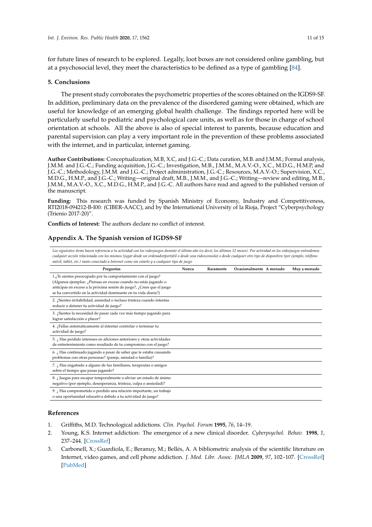for future lines of research to be explored. Legally, loot boxes are not considered online gambling, but at a psychosocial level, they meet the characteristics to be defined as a type of gambling [\[84\]](#page-14-13).

# **5. Conclusions**

The present study corroborates the psychometric properties of the scores obtained on the IGDS9-SF. In addition, preliminary data on the prevalence of the disordered gaming were obtained, which are useful for knowledge of an emerging global health challenge. The findings reported here will be particularly useful to pediatric and psychological care units, as well as for those in charge of school orientation at schools. All the above is also of special interest to parents, because education and parental supervision can play a very important role in the prevention of these problems associated with the internet, and in particular, internet gaming.

**Author Contributions:** Conceptualization, M.B, X.C, and J.G.-C.; Data curation, M.B. and J.M.M.; Formal analysis, J.M.M. and J.G.-C.; Funding acquisition, J.G.-C.; Investigation, M.B., J.M.M., M.A.V.-O., X.C., M.D.G., H.M.P, and J.G.-C.; Methodology, J.M.M. and J.G.-C.; Project administration, J.G.-C.; Resources, M.A.V.-O.; Supervision, X.C., M.D.G., H.M.P., and J.G.-C.; Writing—original draft, M.B., J.M.M., and J.G.-C.; Writing—review and editing, M.B., J.M.M., M.A.V.-O., X.C., M.D.G., H.M.P., and J.G.-C. All authors have read and agreed to the published version of the manuscript.

**Funding:** This research was funded by Spanish Ministry of Economy, Industry and Competitiveness, RTI2018-094212-B-I00: (CIBER-AACC), and by the International University of la Rioja, Project "Cyberpsychology (Trienio 2017-20)".

**Conflicts of Interest:** The authors declare no conflict of interest.

# <span id="page-10-3"></span>**Appendix A. The Spanish version of IGDS9-SF**

*Los siguientes ítems hacen referencia a tu actividad con los videojuegos durante el último año (es decir, los últimos 12 meses). Por actividad en los videojuegos entendemos* cualquier acción relacionada con los mismos (jugar desde un ordenador/portátil o desde una videoconsola) o desde cualquier otro tipo de dispositivo (por ejemplo, teléfono *móvil, tablet, etc.) tanto conectado a Internet como sin estarlo y a cualquier tipo de juego*

| Preguntas                                                                                                                                                                                                                                                                   | Nunca | Raramente | Ocasionalmente A menudo | Muy a menudo |
|-----------------------------------------------------------------------------------------------------------------------------------------------------------------------------------------------------------------------------------------------------------------------------|-------|-----------|-------------------------|--------------|
| 1.¿Te sientes preocupado por tu comportamiento con el juego?<br>(Algunos ejemplos: ¿Piensas en exceso cuando no estás jugando o<br>anticipas en exceso a la próxima sesión de juego?, ¿Crees que el juego<br>se ha convertido en la actividad dominante en tu vida diaria?) |       |           |                         |              |
| 2. ¿Sientes irritabilidad, ansiedad o incluso tristeza cuando intentas<br>reducir o detener tu actividad de juego?                                                                                                                                                          |       |           |                         |              |
| 3. ¿Sientes la necesidad de pasar cada vez más tiempo jugando para<br>lograr satisfacción o placer?                                                                                                                                                                         |       |           |                         |              |
| 4. ¿Fallas sistemáticamente al intentar controlar o terminar tu<br>actividad de juego?                                                                                                                                                                                      |       |           |                         |              |
| 5. ¿ Has perdido intereses en aficiones anteriores y otras actividades<br>de entretenimiento como resultado de tu compromiso con el juego?                                                                                                                                  |       |           |                         |              |
| 6. ¿ Has continuado jugando a pesar de saber que te estaba causando<br>problemas con otras personas? (pareja, amistad o familia)?                                                                                                                                           |       |           |                         |              |
| 7. ¿ Has engañado a alguno de tus familiares, terapeutas o amigos<br>sobre el tiempo que pasas jugando?                                                                                                                                                                     |       |           |                         |              |
| 8. ¿Juegas para escapar temporalmente o aliviar un estado de ánimo<br>negativo (por ejemplo, desesperanza, tristeza, culpa o ansiedad)?                                                                                                                                     |       |           |                         |              |
| 9. ¿Has comprometido o perdido una relación importante, un trabajo<br>o una oportunidad educativa debido a tu actividad de juego?                                                                                                                                           |       |           |                         |              |

# **References**

- <span id="page-10-0"></span>1. Griffiths, M.D. Technological addictions. *Clin. Psychol. Forum* **1995**, *76*, 14–19.
- <span id="page-10-1"></span>2. Young, K.S. Internet addiction: The emergence of a new clinical disorder. *Cyberpsychol. Behav.* **1998**, *1*, 237–244. [\[CrossRef\]](http://dx.doi.org/10.1089/cpb.1998.1.237)
- <span id="page-10-2"></span>3. Carbonell, X.; Guardiola, E.; Beranuy, M.; Bellés, A. A bibliometric analysis of the scientific literature on Internet, video games, and cell phone addiction. *J. Med. Libr. Assoc. JMLA* **2009**, *97*, 102–107. [\[CrossRef\]](http://dx.doi.org/10.3163/1536-5050.97.2.006) [\[PubMed\]](http://www.ncbi.nlm.nih.gov/pubmed/19404500)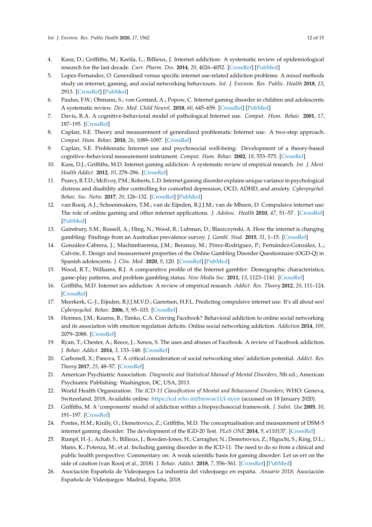- <span id="page-11-18"></span>4. Kuss, D.; Griffiths, M.; Karila, L.; Billieux, J. Internet addiction: A systematic review of epidemiological research for the last decade. *Curr. Pharm. Des.* **2014**, *20*, 4026–4052. [\[CrossRef\]](http://dx.doi.org/10.2174/13816128113199990617) [\[PubMed\]](http://www.ncbi.nlm.nih.gov/pubmed/24001297)
- <span id="page-11-3"></span>5. Lopez-Fernandez, O. Generalised versus specific internet use-related addiction problems: A mixed methods study on internet, gaming, and social networking behaviours. *Int. J. Environ. Res. Public. Health* **2018**, *15*, 2913. [\[CrossRef\]](http://dx.doi.org/10.3390/ijerph15122913) [\[PubMed\]](http://www.ncbi.nlm.nih.gov/pubmed/30572652)
- <span id="page-11-0"></span>6. Paulus, F.W.; Ohmann, S.; von Gontard, A.; Popow, C. Internet gaming disorder in children and adolescents: A systematic review. *Dev. Med. Child Neurol.* **2018**, *60*, 645–659. [\[CrossRef\]](http://dx.doi.org/10.1111/dmcn.13754) [\[PubMed\]](http://www.ncbi.nlm.nih.gov/pubmed/29633243)
- <span id="page-11-1"></span>7. Davis, R.A. A cognitive-behavioral model of pathological Internet use. *Comput. Hum. Behav.* **2001**, *17*, 187–195. [\[CrossRef\]](http://dx.doi.org/10.1016/S0747-5632(00)00041-8)
- <span id="page-11-20"></span>8. Caplan, S.E. Theory and measurement of generalized problematic Internet use: A two-step approach. *Comput. Hum. Behav.* **2010**, *26*, 1089–1097. [\[CrossRef\]](http://dx.doi.org/10.1016/j.chb.2010.03.012)
- <span id="page-11-2"></span>9. Caplan, S.E. Problematic Internet use and psychosocial well-being: Development of a theory-based cognitive–behavioral measurement instrument. *Comput. Hum. Behav.* **2002**, *18*, 553–575. [\[CrossRef\]](http://dx.doi.org/10.1016/S0747-5632(02)00004-3)
- <span id="page-11-4"></span>10. Kuss, D.J.; Griffiths, M.D. Internet gaming addiction: A systematic review of empirical research. *Int. J. Ment. Health Addict.* **2012**, *10*, 278–296. [\[CrossRef\]](http://dx.doi.org/10.1007/s11469-011-9318-5)
- 11. Pearcy, B.T.D.; McEvoy, P.M.; Roberts, L.D. Internet gaming disorder explains unique variance in psychological distress and disability after controlling for comorbid depression, OCD, ADHD, and anxiety. *Cyberpsychol. Behav. Soc. Netw.* **2017**, *20*, 126–132. [\[CrossRef\]](http://dx.doi.org/10.1089/cyber.2016.0304) [\[PubMed\]](http://www.ncbi.nlm.nih.gov/pubmed/28085490)
- <span id="page-11-5"></span>12. van Rooij, A.J.; Schoenmakers, T.M.; van de Eijnden, R.J.J.M.; van de Mheen, D. Compulsive internet use: The role of online gaming and other internet applications. *J. Adolesc. Health* **2010**, *47*, 51–57. [\[CrossRef\]](http://dx.doi.org/10.1016/j.jadohealth.2009.12.021) [\[PubMed\]](http://www.ncbi.nlm.nih.gov/pubmed/20547292)
- <span id="page-11-6"></span>13. Gainsbury, S.M.; Russell, A.; Hing, N.; Wood, R.; Lubman, D.; Blaszczynski, A. How the internet is changing gambling: Findings from an Australian prevalence survey. *J. Gambl. Stud.* **2015**, *31*, 1–15. [\[CrossRef\]](http://dx.doi.org/10.1007/s10899-013-9404-7)
- <span id="page-11-19"></span>14. González-Cabrera, J.; Machimbarrena, J.M.; Beranuy, M.; Pérez-Rodríguez, P.; Fernández-González, L.; Calvete, E. Design and measurement properties of the Online Gambling Disorder Questionnaire (OGD-Q) in Spanish adolescents. *J. Clin. Med.* **2020**, *9*, 120. [\[CrossRef\]](http://dx.doi.org/10.3390/jcm9010120) [\[PubMed\]](http://www.ncbi.nlm.nih.gov/pubmed/31906512)
- <span id="page-11-7"></span>15. Wood, R.T.; Williams, R.J. A comparative profile of the Internet gambler: Demographic characteristics, game-play patterns, and problem gambling status. *New Media Soc.* **2011**, *13*, 1123–1141. [\[CrossRef\]](http://dx.doi.org/10.1177/1461444810397650)
- <span id="page-11-8"></span>16. Griffiths, M.D. Internet sex addiction: A review of empirical research. *Addict. Res. Theory* **2012**, *20*, 111–124. [\[CrossRef\]](http://dx.doi.org/10.3109/16066359.2011.588351)
- <span id="page-11-9"></span>17. Meerkerk, G.-J.; Eijnden, R.J.J.M.V.D.; Garretsen, H.F.L. Predicting compulsive internet use: It's all about sex! *Cyberpsychol. Behav.* **2006**, *9*, 95–103. [\[CrossRef\]](http://dx.doi.org/10.1089/cpb.2006.9.95)
- <span id="page-11-10"></span>18. Hormes, J.M.; Kearns, B.; Timko, C.A. Craving Facebook? Behavioral addiction to online social networking and its association with emotion regulation deficits: Online social networking addiction. *Addiction* **2014**, *109*, 2079–2088. [\[CrossRef\]](http://dx.doi.org/10.1111/add.12713)
- 19. Ryan, T.; Chester, A.; Reece, J.; Xenos, S. The uses and abuses of Facebook: A review of Facebook addiction. *J. Behav. Addict.* **2014**, *3*, 133–148. [\[CrossRef\]](http://dx.doi.org/10.1556/JBA.3.2014.016)
- <span id="page-11-11"></span>20. Carbonell, X.; Panova, T. A critical consideration of social networking sites' addiction potential. *Addict. Res. Theory* **2017**, *25*, 48–57. [\[CrossRef\]](http://dx.doi.org/10.1080/16066359.2016.1197915)
- <span id="page-11-12"></span>21. American Psychiatric Association. *Diagnostic and Statistical Manual of Mental Disorders*, 5th ed.; American Psychiatric Publishing: Washington, DC, USA, 2013.
- <span id="page-11-13"></span>22. World Health Organization. *The ICD-11 Classification of Mental and Behavioural Disorders*; WHO: Geneva, Switzerland, 2018; Available online: https://[icd.who.int](https://icd.who.int/browse11/l-m/en)/browse11/l-m/en (accessed on 18 January 2020).
- <span id="page-11-14"></span>23. Griffiths, M. A 'components' model of addiction within a biopsychosocial framework. *J. Subst. Use* **2005**, *10*, 191–197. [\[CrossRef\]](http://dx.doi.org/10.1080/14659890500114359)
- <span id="page-11-15"></span>24. Pontes, H.M.; Király, O.; Demetrovics, Z.; Griffiths, M.D. The conceptualisation and measurement of DSM-5 internet gaming disorder: The development of the IGD-20 Test. *PLoS ONE* **2014**, *9*, e110137. [\[CrossRef\]](http://dx.doi.org/10.1371/journal.pone.0110137)
- <span id="page-11-16"></span>25. Rumpf, H.-J.; Achab, S.; Billieux, J.; Bowden-Jones, H.; Carragher, N.; Demetrovics, Z.; Higuchi, S.; King, D.L.; Mann, K.; Potenza, M.; et al. Including gaming disorder in the ICD-11: The need to do so from a clinical and public health perspective: Commentary on: A weak scientific basis for gaming disorder: Let us err on the side of caution (van Rooij et al., 2018). *J. Behav. Addict.* **2018**, *7*, 556–561. [\[CrossRef\]](http://dx.doi.org/10.1556/2006.7.2018.59) [\[PubMed\]](http://www.ncbi.nlm.nih.gov/pubmed/30010410)
- <span id="page-11-17"></span>26. Asociación Española de Videojuegos La industria del videojuego en españa. *Anuario 2018*; Asociación Española de Videojuegos: Madrid, España, 2018.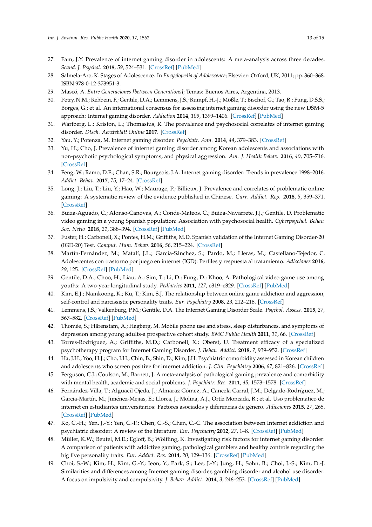- <span id="page-12-0"></span>27. Fam, J.Y. Prevalence of internet gaming disorder in adolescents: A meta-analysis across three decades. *Scand. J. Psychol.* **2018**, *59*, 524–531. [\[CrossRef\]](http://dx.doi.org/10.1111/sjop.12459) [\[PubMed\]](http://www.ncbi.nlm.nih.gov/pubmed/30004118)
- <span id="page-12-1"></span>28. Salmela-Aro, K. Stages of Adolescence. In *Encyclopedia of Adolescence*; Elsevier: Oxford, UK, 2011; pp. 360–368. ISBN 978-0-12-373951-3.
- <span id="page-12-2"></span>29. Mascó, A. *Entre Generaciones [between Generations]*; Temas: Buenos Aires, Argentina, 2013.
- <span id="page-12-3"></span>30. Petry, N.M.; Rehbein, F.; Gentile, D.A.; Lemmens, J.S.; Rumpf, H.-J.; Mößle, T.; Bischof, G.; Tao, R.; Fung, D.S.S.; Borges, G.; et al. An international consensus for assessing internet gaming disorder using the new DSM-5 approach: Internet gaming disorder. *Addiction* **2014**, *109*, 1399–1406. [\[CrossRef\]](http://dx.doi.org/10.1111/add.12457) [\[PubMed\]](http://www.ncbi.nlm.nih.gov/pubmed/24456155)
- <span id="page-12-19"></span>31. Wartberg, L.; Kriston, L.; Thomasius, R. The prevalence and psychosocial correlates of internet gaming disorder. *Dtsch. Aerzteblatt Online* **2017**. [\[CrossRef\]](http://dx.doi.org/10.3238/arztebl.2017.0419)
- 32. Yau, Y.; Potenza, M. Internet gaming disorder. *Psychiatr. Ann.* **2014**, *44*, 379–383. [\[CrossRef\]](http://dx.doi.org/10.3928/00485713-20140806-05)
- <span id="page-12-4"></span>33. Yu, H.; Cho, J. Prevalence of internet gaming disorder among Korean adolescents and associations with non-psychotic psychological symptoms, and physical aggression. *Am. J. Health Behav.* **2016**, *40*, 705–716. [\[CrossRef\]](http://dx.doi.org/10.5993/AJHB.40.6.3)
- <span id="page-12-5"></span>34. Feng, W.; Ramo, D.E.; Chan, S.R.; Bourgeois, J.A. Internet gaming disorder: Trends in prevalence 1998–2016. *Addict. Behav.* **2017**, *75*, 17–24. [\[CrossRef\]](http://dx.doi.org/10.1016/j.addbeh.2017.06.010)
- <span id="page-12-6"></span>35. Long, J.; Liu, T.; Liu, Y.; Hao, W.; Maurage, P.; Billieux, J. Prevalence and correlates of problematic online gaming: A systematic review of the evidence published in Chinese. *Curr. Addict. Rep.* **2018**, *5*, 359–371. [\[CrossRef\]](http://dx.doi.org/10.1007/s40429-018-0219-6)
- <span id="page-12-7"></span>36. Buiza-Aguado, C.; Alonso-Canovas, A.; Conde-Mateos, C.; Buiza-Navarrete, J.J.; Gentile, D. Problematic video gaming in a young Spanish population: Association with psychosocial health. *Cyberpsychol. Behav. Soc. Netw.* **2018**, *21*, 388–394. [\[CrossRef\]](http://dx.doi.org/10.1089/cyber.2017.0599) [\[PubMed\]](http://www.ncbi.nlm.nih.gov/pubmed/29792521)
- <span id="page-12-8"></span>37. Fuster, H.; Carbonell, X.; Pontes, H.M.; Griffiths, M.D. Spanish validation of the Internet Gaming Disorder-20 (IGD-20) Test. *Comput. Hum. Behav.* **2016**, *56*, 215–224. [\[CrossRef\]](http://dx.doi.org/10.1016/j.chb.2015.11.050)
- <span id="page-12-9"></span>38. Martín-Fernández, M.; Matalí, J.L.; García-Sánchez, S.; Pardo, M.; Lleras, M.; Castellano-Tejedor, C. Adolescentes con trastorno por juego en internet (IGD): Perfiles y respuesta al tratamiento. *Adicciones* **2016**, *29*, 125. [\[CrossRef\]](http://dx.doi.org/10.20882/adicciones.890) [\[PubMed\]](http://www.ncbi.nlm.nih.gov/pubmed/27749976)
- <span id="page-12-10"></span>39. Gentile, D.A.; Choo, H.; Liau, A.; Sim, T.; Li, D.; Fung, D.; Khoo, A. Pathological video game use among youths: A two-year longitudinal study. *Pediatrics* **2011**, *127*, e319–e329. [\[CrossRef\]](http://dx.doi.org/10.1542/peds.2010-1353) [\[PubMed\]](http://www.ncbi.nlm.nih.gov/pubmed/21242221)
- 40. Kim, E.J.; Namkoong, K.; Ku, T.; Kim, S.J. The relationship between online game addiction and aggression, self-control and narcissistic personality traits. *Eur. Psychiatry* **2008**, *23*, 212–218. [\[CrossRef\]](http://dx.doi.org/10.1016/j.eurpsy.2007.10.010)
- 41. Lemmens, J.S.; Valkenburg, P.M.; Gentile, D.A. The Internet Gaming Disorder Scale. *Psychol. Assess.* **2015**, *27*, 567–582. [\[CrossRef\]](http://dx.doi.org/10.1037/pas0000062) [\[PubMed\]](http://www.ncbi.nlm.nih.gov/pubmed/25558970)
- <span id="page-12-11"></span>42. Thomée, S.; Härenstam, A.; Hagberg, M. Mobile phone use and stress, sleep disturbances, and symptoms of depression among young adults-a prospective cohort study. *BMC Public Health* **2011**, *11*, 66. [\[CrossRef\]](http://dx.doi.org/10.1186/1471-2458-11-66)
- <span id="page-12-12"></span>43. Torres-Rodríguez, A.; Griffiths, M.D.; Carbonell, X.; Oberst, U. Treatment efficacy of a specialized psychotherapy program for Internet Gaming Disorder. *J. Behav. Addict.* **2018**, *7*, 939–952. [\[CrossRef\]](http://dx.doi.org/10.1556/2006.7.2018.111)
- <span id="page-12-13"></span>44. Ha, J.H.; Yoo, H.J.; Cho, I.H.; Chin, B.; Shin, D.; Kim, J.H. Psychiatric comorbidity assessed in Korean children and adolescents who screen positive for internet addiction. *J. Clin. Psychiatry* **2006**, *67*, 821–826. [\[CrossRef\]](http://dx.doi.org/10.4088/JCP.v67n0517)
- <span id="page-12-14"></span>45. Ferguson, C.J.; Coulson, M.; Barnett, J. A meta-analysis of pathological gaming prevalence and comorbidity with mental health, academic and social problems. *J. Psychiatr. Res.* **2011**, *45*, 1573–1578. [\[CrossRef\]](http://dx.doi.org/10.1016/j.jpsychires.2011.09.005)
- <span id="page-12-15"></span>46. Fernández-Villa, T.; Alguacil Ojeda, J.; Almaraz Gómez, A.; Cancela Carral, J.M.; Delgado-Rodríguez, M.; García-Martín, M.; Jiménez-Mejías, E.; Llorca, J.; Molina, A.J.; Ortíz Moncada, R.; et al. Uso problemático de internet en estudiantes universitarios: Factores asociados y diferencias de género. *Adicciones* **2015**, *27*, 265. [\[CrossRef\]](http://dx.doi.org/10.20882/adicciones.751) [\[PubMed\]](http://www.ncbi.nlm.nih.gov/pubmed/26706809)
- <span id="page-12-16"></span>47. Ko, C.-H.; Yen, J.-Y.; Yen, C.-F.; Chen, C.-S.; Chen, C.-C. The association between Internet addiction and psychiatric disorder: A review of the literature. *Eur. Psychiatry* **2012**, *27*, 1–8. [\[CrossRef\]](http://dx.doi.org/10.1016/j.eurpsy.2010.04.011) [\[PubMed\]](http://www.ncbi.nlm.nih.gov/pubmed/22153731)
- <span id="page-12-17"></span>48. Müller, K.W.; Beutel, M.E.; Egloff, B.; Wölfling, K. Investigating risk factors for internet gaming disorder: A comparison of patients with addictive gaming, pathological gamblers and healthy controls regarding the big five personality traits. *Eur. Addict. Res.* **2014**, *20*, 129–136. [\[CrossRef\]](http://dx.doi.org/10.1159/000355832) [\[PubMed\]](http://www.ncbi.nlm.nih.gov/pubmed/24247280)
- <span id="page-12-18"></span>49. Choi, S.-W.; Kim, H.; Kim, G.-Y.; Jeon, Y.; Park, S.; Lee, J.-Y.; Jung, H.; Sohn, B.; Choi, J.-S.; Kim, D.-J. Similarities and differences among Internet gaming disorder, gambling disorder and alcohol use disorder: A focus on impulsivity and compulsivity. *J. Behav. Addict.* **2014**, *3*, 246–253. [\[CrossRef\]](http://dx.doi.org/10.1556/JBA.3.2014.4.6) [\[PubMed\]](http://www.ncbi.nlm.nih.gov/pubmed/25592310)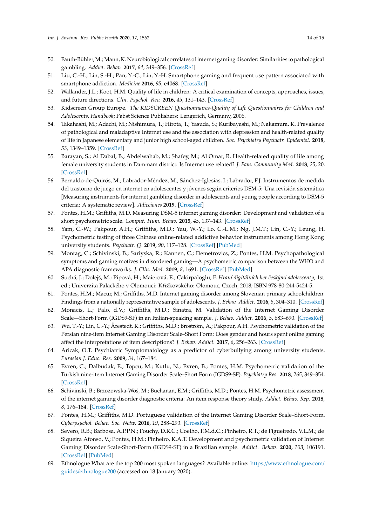- <span id="page-13-0"></span>50. Fauth-Bühler, M.; Mann, K. Neurobiological correlates of internet gaming disorder: Similarities to pathological gambling. *Addict. Behav.* **2017**, *64*, 349–356. [\[CrossRef\]](http://dx.doi.org/10.1016/j.addbeh.2015.11.004)
- <span id="page-13-1"></span>51. Liu, C.-H.; Lin, S.-H.; Pan, Y.-C.; Lin, Y.-H. Smartphone gaming and frequent use pattern associated with smartphone addiction. *Medicine* **2016**, *95*, e4068. [\[CrossRef\]](http://dx.doi.org/10.1097/MD.0000000000004068)
- <span id="page-13-2"></span>52. Wallander, J.L.; Koot, H.M. Quality of life in children: A critical examination of concepts, approaches, issues, and future directions. *Clin. Psychol. Rev.* **2016**, *45*, 131–143. [\[CrossRef\]](http://dx.doi.org/10.1016/j.cpr.2015.11.007)
- <span id="page-13-3"></span>53. Kidscreen Group Europe. *The KIDSCREEN Questionnaires-Quality of Life Questionnaires for Children and Adolescents, Handbook*; Pabst Science Publishers: Lengerich, Germany, 2006.
- <span id="page-13-4"></span>54. Takahashi, M.; Adachi, M.; Nishimura, T.; Hirota, T.; Yasuda, S.; Kuribayashi, M.; Nakamura, K. Prevalence of pathological and maladaptive Internet use and the association with depression and health-related quality of life in Japanese elementary and junior high school-aged children. *Soc. Psychiatry Psychiatr. Epidemiol.* **2018**, *53*, 1349–1359. [\[CrossRef\]](http://dx.doi.org/10.1007/s00127-018-1605-z)
- <span id="page-13-5"></span>55. Barayan, S.; Al Dabal, B.; Abdelwahab, M.; Shafey, M.; Al Omar, R. Health-related quality of life among female university students in Dammam district: Is Internet use related? *J. Fam. Community Med.* **2018**, *25*, 20. [\[CrossRef\]](http://dx.doi.org/10.4103/jfcm.JFCM_66_17)
- <span id="page-13-6"></span>56. Bernaldo-de-Quirós, M.; Labrador-Méndez, M.; Sánchez-Iglesias, I.; Labrador, F.J. Instrumentos de medida del trastorno de juego en internet en adolescentes y jóvenes según criterios DSM-5: Una revisión sistemática [Measuring instruments for internet gambling disorder in adolescents and young people according to DSM-5 criteria: A systematic review]. *Adicciones* **2019**. [\[CrossRef\]](http://dx.doi.org/10.20882/adicciones.1277)
- <span id="page-13-7"></span>57. Pontes, H.M.; Griffiths, M.D. Measuring DSM-5 internet gaming disorder: Development and validation of a short psychometric scale. *Comput. Hum. Behav.* **2015**, *45*, 137–143. [\[CrossRef\]](http://dx.doi.org/10.1016/j.chb.2014.12.006)
- <span id="page-13-8"></span>58. Yam, C.-W.; Pakpour, A.H.; Griffiths, M.D.; Yau, W.-Y.; Lo, C.-L.M.; Ng, J.M.T.; Lin, C.-Y.; Leung, H. Psychometric testing of three Chinese online-related addictive behavior instruments among Hong Kong university students. *Psychiatr. Q.* **2019**, *90*, 117–128. [\[CrossRef\]](http://dx.doi.org/10.1007/s11126-018-9610-7) [\[PubMed\]](http://www.ncbi.nlm.nih.gov/pubmed/30328020)
- <span id="page-13-9"></span>59. Montag, C.; Schivinski, B.; Sariyska, R.; Kannen, C.; Demetrovics, Z.; Pontes, H.M. Psychopathological symptoms and gaming motives in disordered gaming—A psychometric comparison between the WHO and APA diagnostic frameworks. *J. Clin. Med.* **2019**, *8*, 1691. [\[CrossRef\]](http://dx.doi.org/10.3390/jcm8101691) [\[PubMed\]](http://www.ncbi.nlm.nih.gov/pubmed/31618950)
- <span id="page-13-10"></span>60. Suchá, J.; Dolejš, M.; Pipová, H.; Maierová, E.; Cakirpaloglu, P. *Hraní digitálních her ˇceskými adolescenty*, 1st ed.; Univerzita Palackého v Olomouci: Křížkovského: Olomouc, Czech, 2018; ISBN 978-80-244-5424-5.
- <span id="page-13-11"></span>61. Pontes, H.M.; Macur, M.; Griffiths, M.D. Internet gaming disorder among Slovenian primary schoolchildren: Findings from a nationally representative sample of adolescents. *J. Behav. Addict.* **2016**, *5*, 304–310. [\[CrossRef\]](http://dx.doi.org/10.1556/2006.5.2016.042)
- <span id="page-13-12"></span>62. Monacis, L.; Palo, d.V.; Griffiths, M.D.; Sinatra, M. Validation of the Internet Gaming Disorder Scale—Short-Form (IGDS9-SF) in an Italian-speaking sample. *J. Behav. Addict.* **2016**, *5*, 683–690. [\[CrossRef\]](http://dx.doi.org/10.1556/2006.5.2016.083)
- <span id="page-13-13"></span>63. Wu, T.-Y.; Lin, C.-Y.; Årestedt, K.; Griffiths, M.D.; Broström, A.; Pakpour, A.H. Psychometric validation of the Persian nine-item Internet Gaming Disorder Scale–Short Form: Does gender and hours spent online gaming affect the interpretations of item descriptions? *J. Behav. Addict.* **2017**, *6*, 256–263. [\[CrossRef\]](http://dx.doi.org/10.1556/2006.6.2017.025)
- <span id="page-13-14"></span>64. Aricak, O.T. Psychiatric Symptomatology as a predictor of cyberbullying among university students. *Eurasian J. Educ. Res.* **2009**, *34*, 167–184.
- <span id="page-13-15"></span>65. Evren, C.; Dalbudak, E.; Topcu, M.; Kutlu, N.; Evren, B.; Pontes, H.M. Psychometric validation of the Turkish nine-item Internet Gaming Disorder Scale–Short Form (IGDS9-SF). *Psychiatry Res.* **2018**, *265*, 349–354. [\[CrossRef\]](http://dx.doi.org/10.1016/j.psychres.2018.05.002)
- <span id="page-13-16"></span>66. Schivinski, B.; Brzozowska-Woś, M.; Buchanan, E.M.; Griffiths, M.D.; Pontes, H.M. Psychometric assessment of the internet gaming disorder diagnostic criteria: An item response theory study. *Addict. Behav. Rep.* **2018**, *8*, 176–184. [\[CrossRef\]](http://dx.doi.org/10.1016/j.abrep.2018.06.004)
- <span id="page-13-17"></span>67. Pontes, H.M.; Griffiths, M.D. Portuguese validation of the Internet Gaming Disorder Scale–Short-Form. *Cyberpsychol. Behav. Soc. Netw.* **2016**, *19*, 288–293. [\[CrossRef\]](http://dx.doi.org/10.1089/cyber.2015.0605)
- <span id="page-13-18"></span>68. Severo, R.B.; Barbosa, A.P.P.N.; Fouchy, D.R.C.; Coelho, F.M.d.C.; Pinheiro, R.T.; de Figueiredo, V.L.M.; de Siqueira Afonso, V.; Pontes, H.M.; Pinheiro, K.A.T. Development and psychometric validation of Internet Gaming Disorder Scale-Short-Form (IGDS9-SF) in a Brazilian sample. *Addict. Behav.* **2020**, *103*, 106191. [\[CrossRef\]](http://dx.doi.org/10.1016/j.addbeh.2019.106191) [\[PubMed\]](http://www.ncbi.nlm.nih.gov/pubmed/31887719)
- <span id="page-13-19"></span>69. Ethnologue What are the top 200 most spoken languages? Available online: https://[www.ethnologue.com](https://www.ethnologue.com/guides/ethnologue200)/ guides/[ethnologue200](https://www.ethnologue.com/guides/ethnologue200) (accessed on 18 January 2020).